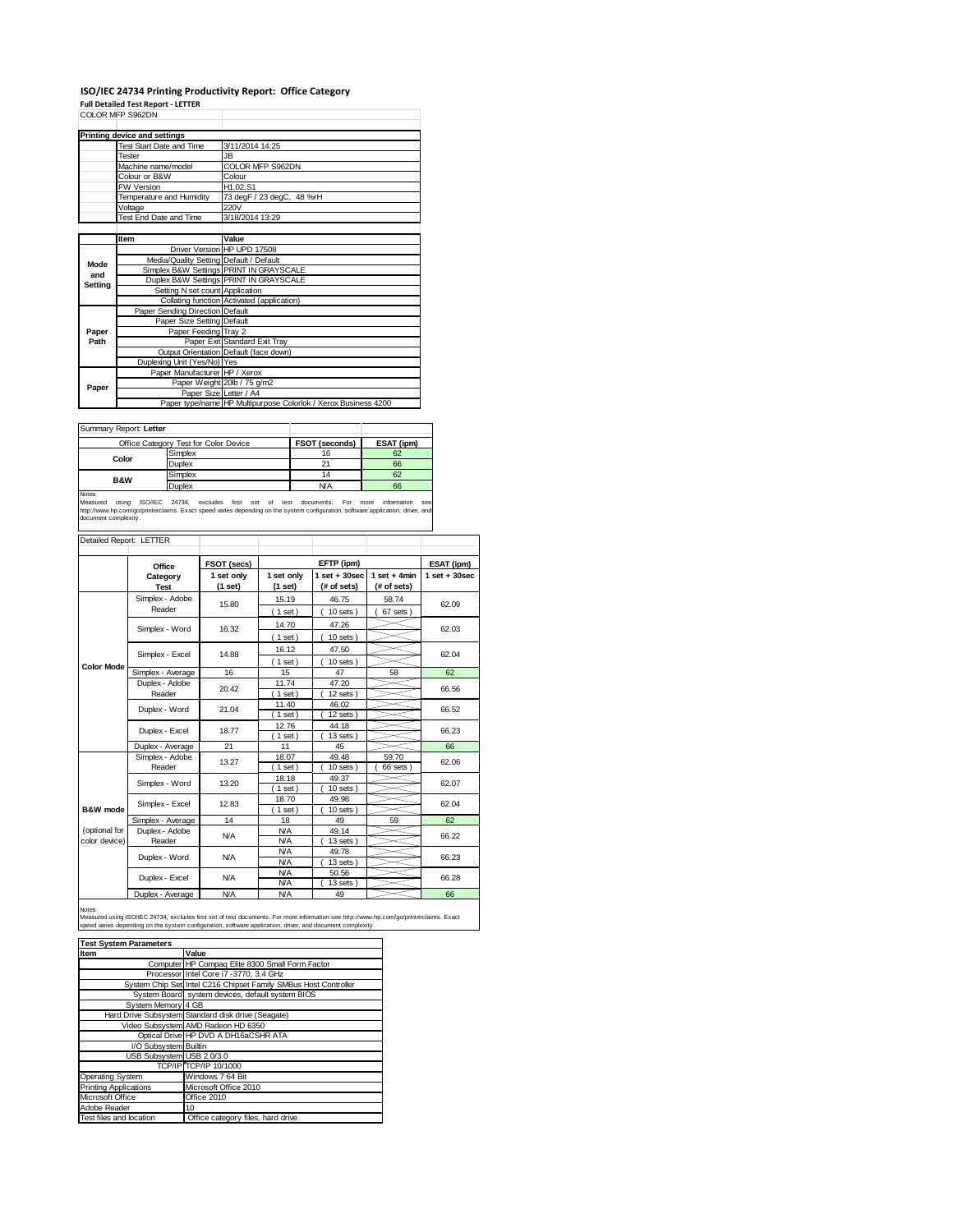### **ISO/IEC 24734 Printing Productivity Report: Office Category Full Detailed Test Report ‐ LETTER**

|         | COLOR MFP S962DN                        |                                                                |  |  |  |  |
|---------|-----------------------------------------|----------------------------------------------------------------|--|--|--|--|
|         | <b>Printing device and settings</b>     |                                                                |  |  |  |  |
|         | <b>Test Start Date and Time</b>         | 3/11/2014 14:25                                                |  |  |  |  |
|         | Tester                                  | JB.                                                            |  |  |  |  |
|         | Machine name/model                      | COLOR MFP S962DN                                               |  |  |  |  |
|         | Colour or B&W                           | Colour                                                         |  |  |  |  |
|         | <b>FW Version</b>                       | H1.02.S1                                                       |  |  |  |  |
|         | Temperature and Humidity                | 73 degF / 23 degC, 48 %rH                                      |  |  |  |  |
|         | Voltage                                 | 220V                                                           |  |  |  |  |
|         | Test End Date and Time                  | 3/18/2014 13:29                                                |  |  |  |  |
|         |                                         |                                                                |  |  |  |  |
|         | Item                                    | Value                                                          |  |  |  |  |
|         |                                         | Driver Version HP UPD 17508                                    |  |  |  |  |
| Mode    | Media/Quality Setting Default / Default |                                                                |  |  |  |  |
| and     |                                         | Simplex B&W Settings PRINT IN GRAYSCALE                        |  |  |  |  |
| Setting |                                         | Duplex B&W Settings PRINT IN GRAYSCALE                         |  |  |  |  |
|         | Setting N set count Application         |                                                                |  |  |  |  |
|         |                                         | Collating function Activated (application)                     |  |  |  |  |
|         | Paper Sending Direction Default         |                                                                |  |  |  |  |
|         | Paper Size Setting Default              |                                                                |  |  |  |  |
| Paper   | Paper Feeding Tray 2                    |                                                                |  |  |  |  |
| Path    |                                         | Paper Exit Standard Exit Tray                                  |  |  |  |  |
|         |                                         | Output Orientation Default (face down)                         |  |  |  |  |
|         | Duplexing Unit (Yes/No) Yes             |                                                                |  |  |  |  |
|         | Paper Manufacturer HP / Xerox           |                                                                |  |  |  |  |
| Paper   |                                         | Paper Weight 20lb / 75 g/m2                                    |  |  |  |  |
|         | Paper Size Letter / A4                  |                                                                |  |  |  |  |
|         |                                         | Paper type/name HP Multipurpose Colorlok / Xerox Business 4200 |  |  |  |  |

Summary Report: **Letter**

| <b>JUILLIALY REDUIT.</b> LETTER |                                       |                |            |
|---------------------------------|---------------------------------------|----------------|------------|
|                                 | Office Category Test for Color Device | FSOT (seconds) | ESAT (ipm) |
|                                 | Simplex                               | 16             | 62         |
| Color                           | Duplex                                |                | 66         |
| <b>B&amp;W</b>                  | Simplex                               | 14             | 62         |
|                                 | Duplex                                | <b>N/A</b>     | 66         |
| Notes                           |                                       |                |            |

Notes<br>Measured using ISO/IEC 24734, excludes first set of test documents. For more information see<br>http://www.hp.com/go/printerclaims.Exactspeed.varies.depending.on.the.system.configuration,software.application,driver,and<br>

| Detailed Report: LETTER        |                                   |                       |                          |                                  |                               |                   |
|--------------------------------|-----------------------------------|-----------------------|--------------------------|----------------------------------|-------------------------------|-------------------|
|                                | Office                            | FSOT (secs)           |                          | EFTP (ipm)                       |                               | ESAT (ipm)        |
|                                | Category<br><b>Test</b>           | 1 set only<br>(1 set) | 1 set only<br>(1 set)    | $1$ set $+30$ sec<br>(# of sets) | $1$ set + 4min<br>(# of sets) | $1$ set $+30$ sec |
|                                | Simplex - Adobe<br>Reader         | 15.80                 | 15.19<br>(1 set)         | 46.75<br>$10$ sets $)$           | 58.74<br>67 sets              | 62.09             |
|                                | Simplex - Word                    | 16.32                 | 14.70<br>$1$ set)        | 47.26<br>$10$ sets $)$           |                               | 62.03             |
|                                | Simplex - Excel                   | 14.88                 | 16.12<br>$1$ set)        | 47.50<br>$10$ sets $)$           |                               | 62.04             |
| <b>Color Mode</b>              | Simplex - Average                 | 16                    | 15                       | 47                               | 58                            | 62                |
|                                | Duplex - Adobe<br>20.42<br>Reader |                       | 11.74<br>$1$ set)        | 47.20<br>$12$ sets $)$           |                               | 66.56             |
|                                | Duplex - Word                     | 21.04                 | 11.40<br>$1$ set)        | 46.02<br>12 sets)                |                               | 66.52             |
|                                | Duplex - Excel                    | 18.77                 | 12.76<br>$1$ set)        | 44.18<br>$13$ sets $)$           |                               | 66.23             |
|                                | Duplex - Average                  | 21                    | 11                       | 45                               |                               | 66                |
|                                | Simplex - Adobe<br>Reader         | 13.27                 | 18.07<br>$1$ set)        | 49.48<br>$10$ sets $)$           | 59.70<br>66 sets)             | 62.06             |
|                                | Simplex - Word                    | 13.20                 | 18.18<br>$1$ set)        | 49.37<br>$10$ sets $)$           |                               | 62.07             |
| B&W mode                       | Simplex - Excel                   | 12.83                 | 18.70<br>$1$ set)        | 49.98<br>$10$ sets)              |                               | 62.04             |
|                                | Simplex - Average                 | 14                    | 18                       | 49                               | 59                            | 62                |
| (optional for<br>color device) | Duplex - Adobe<br>Reader          | <b>N/A</b>            | <b>N/A</b><br><b>N/A</b> | 49.14<br>13 sets)                |                               | 66.22             |
|                                | Duplex - Word                     | <b>N/A</b>            | <b>N/A</b><br><b>N/A</b> | 49.78<br>$13$ sets $)$           |                               | 66.23             |
|                                | Duplex - Excel                    | <b>N/A</b>            | <b>N/A</b><br><b>N/A</b> | 50.56<br>13 sets)                |                               | 66.28             |
|                                | Duplex - Average                  | N/A                   | <b>N/A</b>               | 49                               |                               | 66                |

Notes<br>Measured using ISO/IEC 24734, excludes first set of test documents. For more information see http://www.hp.com/go/printerclaims. Exact<br>speed varies depending on the system configuration, software application, driver,

| <b>Test System Parameters</b> |                                                                 |  |  |  |
|-------------------------------|-----------------------------------------------------------------|--|--|--|
| Item                          | Value                                                           |  |  |  |
|                               | Computer HP Compaq Elite 8300 Small Form Factor                 |  |  |  |
|                               | Processor Intel Core i7 -3770, 3.4 GHz                          |  |  |  |
|                               | System Chip Set Intel C216 Chipset Family SMBus Host Controller |  |  |  |
|                               | System Board system devices, default system BIOS                |  |  |  |
| System Memory 4 GB            |                                                                 |  |  |  |
|                               | Hard Drive Subsystem Standard disk drive (Seagate)              |  |  |  |
|                               | Video Subsystem AMD Radeon HD 6350                              |  |  |  |
|                               | Optical Drive HP DVD A DH16aCSHR ATA                            |  |  |  |
| I/O Subsystem Builtin         |                                                                 |  |  |  |
| USB Subsystem USB 2.0/3.0     |                                                                 |  |  |  |
|                               | TCP/IP TCP/IP 10/1000                                           |  |  |  |
| Operating System              | Windows 7 64 Bit                                                |  |  |  |
| <b>Printing Applications</b>  | Microsoft Office 2010                                           |  |  |  |
| Microsoft Office              | Office 2010                                                     |  |  |  |
| Adobe Reader                  | 10                                                              |  |  |  |
| Test files and location       | Office category files, hard drive                               |  |  |  |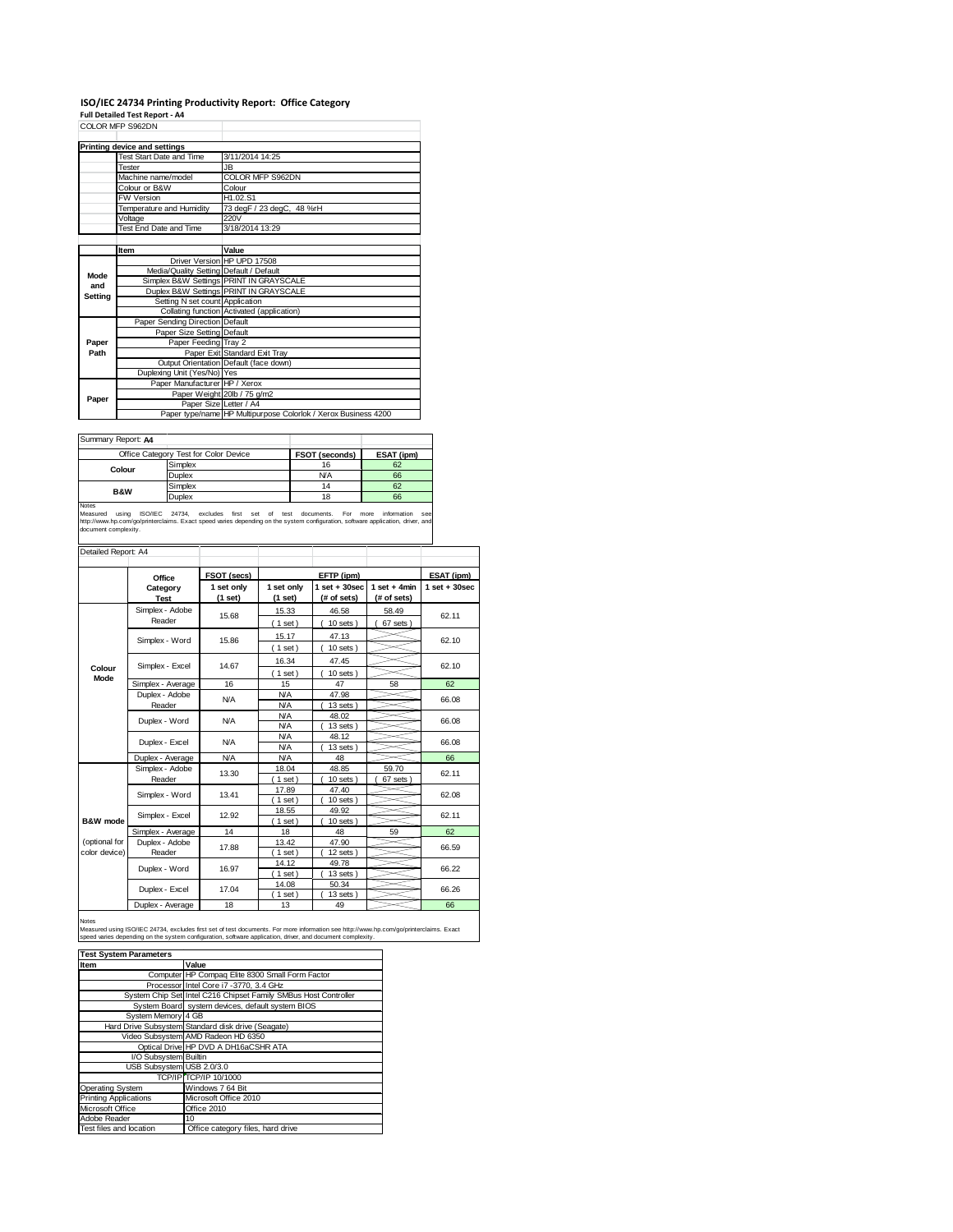# **ISO/IEC 24734 Printing Productivity Report: Office Category Full Detailed Test Report ‐ A4** COLOR MFP S962DN

|                | UULUR MFF ƏYDZDIY                       |                                                                |  |
|----------------|-----------------------------------------|----------------------------------------------------------------|--|
|                | Printing device and settings            |                                                                |  |
|                | Test Start Date and Time                | 3/11/2014 14:25                                                |  |
|                | Tester                                  | JB.                                                            |  |
|                | Machine name/model                      | COLOR MFP S962DN                                               |  |
|                | Colour or B&W                           | Colour                                                         |  |
|                | <b>FW Version</b>                       | H1.02.S1                                                       |  |
|                | Temperature and Humidity                | 73 degF / 23 degC, 48 %rH                                      |  |
|                | Voltage                                 | 220V                                                           |  |
|                | Test End Date and Time                  | 3/18/2014 13:29                                                |  |
|                |                                         |                                                                |  |
|                | Item                                    | Value                                                          |  |
|                |                                         | Driver Version HP UPD 17508                                    |  |
| Mode           | Media/Quality Setting Default / Default |                                                                |  |
| and            |                                         | Simplex B&W Settings PRINT IN GRAYSCALE                        |  |
| <b>Setting</b> |                                         | Duplex B&W Settings PRINT IN GRAYSCALE                         |  |
|                | Setting N set count Application         |                                                                |  |
|                |                                         | Collating function Activated (application)                     |  |
|                | Paper Sending Direction Default         |                                                                |  |
|                | Paper Size Setting Default              |                                                                |  |
| Paper          | Paper Feeding Tray 2                    |                                                                |  |
| Path           |                                         | Paper Exit Standard Exit Tray                                  |  |
|                |                                         | Output Orientation Default (face down)                         |  |
|                | Duplexing Unit (Yes/No) Yes             |                                                                |  |
|                | Paper Manufacturer HP / Xerox           |                                                                |  |
| Paper          |                                         | Paper Weight 20lb / 75 g/m2                                    |  |
|                |                                         | Paper Size Letter / A4                                         |  |
|                |                                         | Paper type/name HP Multipurpose Colorlok / Xerox Business 4200 |  |

| Summary Report: A4 |                                       |                |            |
|--------------------|---------------------------------------|----------------|------------|
|                    | Office Category Test for Color Device | FSOT (seconds) | ESAT (ipm) |
| Colour             | Simplex                               | 16             | 62         |
|                    | Duplex                                | <b>N/A</b>     | 66         |
| <b>B&amp;W</b>     | Simplex                               | 14             | 62         |
|                    | Duplex                                | 18             | 66         |
| <b>Moton</b>       |                                       |                |            |

Notes **CONFINENTIAL CONFIDENT MANUS CONFIDENT** MANUST MANUST MEASURE OF THE MANUST MEASURE OF THE MANUST MEASURE OF THE MANUST MEASURE OF THE MANUST MEASURE OF THE MANUST MEASURE OF THE MANUST MEASURE OF THE MANUST MEASURE

| Detailed Report: A4            |                           |                       |                          |                                |                               |                   |
|--------------------------------|---------------------------|-----------------------|--------------------------|--------------------------------|-------------------------------|-------------------|
|                                | Office                    | FSOT (secs)           |                          | EFTP (ipm)                     |                               | ESAT (ipm)        |
|                                | Category<br><b>Test</b>   | 1 set only<br>(1 set) | 1 set only<br>$(1$ set)  | $1$ set + 30sec<br>(# of sets) | $1$ set + 4min<br>(# of sets) | $1$ set $+30$ sec |
|                                | Simplex - Adobe<br>Reader | 15.68                 | 15.33<br>$1$ set)        | 46.58<br>$10$ sets)            | 58.49<br>67 sets              | 62.11             |
|                                | Simplex - Word            | 15.86                 | 15.17<br>$1$ set)        | 47.13<br>$10$ sets $)$         |                               | 62.10             |
| Colour                         | Simplex - Excel           | 14.67                 | 16.34<br>$1$ set)        | 47.45<br>$10$ sets $)$         |                               | 62.10             |
| Mode                           | Simplex - Average         | 16                    | 15                       | 47                             | 58                            | 62                |
|                                | Duplex - Adobe<br>Reader  | <b>N/A</b>            | <b>N/A</b><br><b>N/A</b> | 47.98<br>$13$ sets $)$         |                               | 66.08             |
|                                | Duplex - Word             | N/A                   | <b>N/A</b><br><b>N/A</b> | 48.02<br>$13$ sets $)$         |                               | 66.08             |
|                                | Duplex - Excel            | N/A                   | <b>N/A</b><br><b>N/A</b> | 48.12<br>13 sets)              |                               | 66.08             |
|                                | Duplex - Average          | <b>N/A</b>            | <b>N/A</b>               | 48                             |                               | 66                |
|                                | Simplex - Adobe<br>Reader | 13.30                 | 18.04<br>$1$ set)        | 48.85<br>$10$ sets)            | 59.70<br>67 sets              | 62.11             |
|                                | Simplex - Word            | 13.41                 | 17.89<br>$1$ set)        | 47.40<br>$10$ sets)            |                               | 62.08             |
| B&W mode                       | Simplex - Excel           | 12.92                 | 18.55<br>$1$ set)        | 49.92<br>$10$ sets)            |                               | 62.11             |
|                                | Simplex - Average         | 14                    | 18                       | 48                             | 59                            | 62                |
| (optional for<br>color device) | Duplex - Adobe<br>Reader  | 17.88                 | 13.42<br>$1$ set)        | 47.90<br>$12$ sets)            |                               | 66.59             |
|                                | Duplex - Word             | 16.97                 | 14.12<br>$1$ set)        | 49.78<br>$13$ sets $)$         |                               | 66.22             |
|                                | Duplex - Excel            | 17.04                 | 14.08<br>$1$ set)        | 50.34<br>$13$ sets $)$         |                               | 66.26             |
|                                | Duplex - Average          | 18                    | 13                       | 49                             |                               | 66                |

#### Notes

Measured using ISO/IEC 24734, excludes first set of test documents. For more information see http://www.hp.com/go/printerclaims. Exact<br>speed varies depending on the system configuration, software application, driver, and d

| <b>Test System Parameters</b> |                                                                 |  |  |  |
|-------------------------------|-----------------------------------------------------------------|--|--|--|
| Item                          | Value                                                           |  |  |  |
|                               | Computer HP Compag Elite 8300 Small Form Factor                 |  |  |  |
|                               | Processor Intel Core i7 -3770, 3.4 GHz                          |  |  |  |
|                               | System Chip Set Intel C216 Chipset Family SMBus Host Controller |  |  |  |
|                               | System Board system devices, default system BIOS                |  |  |  |
| System Memory 4 GB            |                                                                 |  |  |  |
|                               | Hard Drive Subsystem Standard disk drive (Seagate)              |  |  |  |
|                               | Video Subsystem AMD Radeon HD 6350                              |  |  |  |
|                               | Optical Drive HP DVD A DH16aCSHR ATA                            |  |  |  |
| I/O Subsystem Builtin         |                                                                 |  |  |  |
| USB Subsystem USB 2.0/3.0     |                                                                 |  |  |  |
|                               | TCP/IP TCP/IP 10/1000                                           |  |  |  |
| <b>Operating System</b>       | Windows 7 64 Bit                                                |  |  |  |
| <b>Printing Applications</b>  | Microsoft Office 2010                                           |  |  |  |
| Microsoft Office              | Office 2010                                                     |  |  |  |
| Adobe Reader                  | 10                                                              |  |  |  |
| Test files and location       | Office category files, hard drive                               |  |  |  |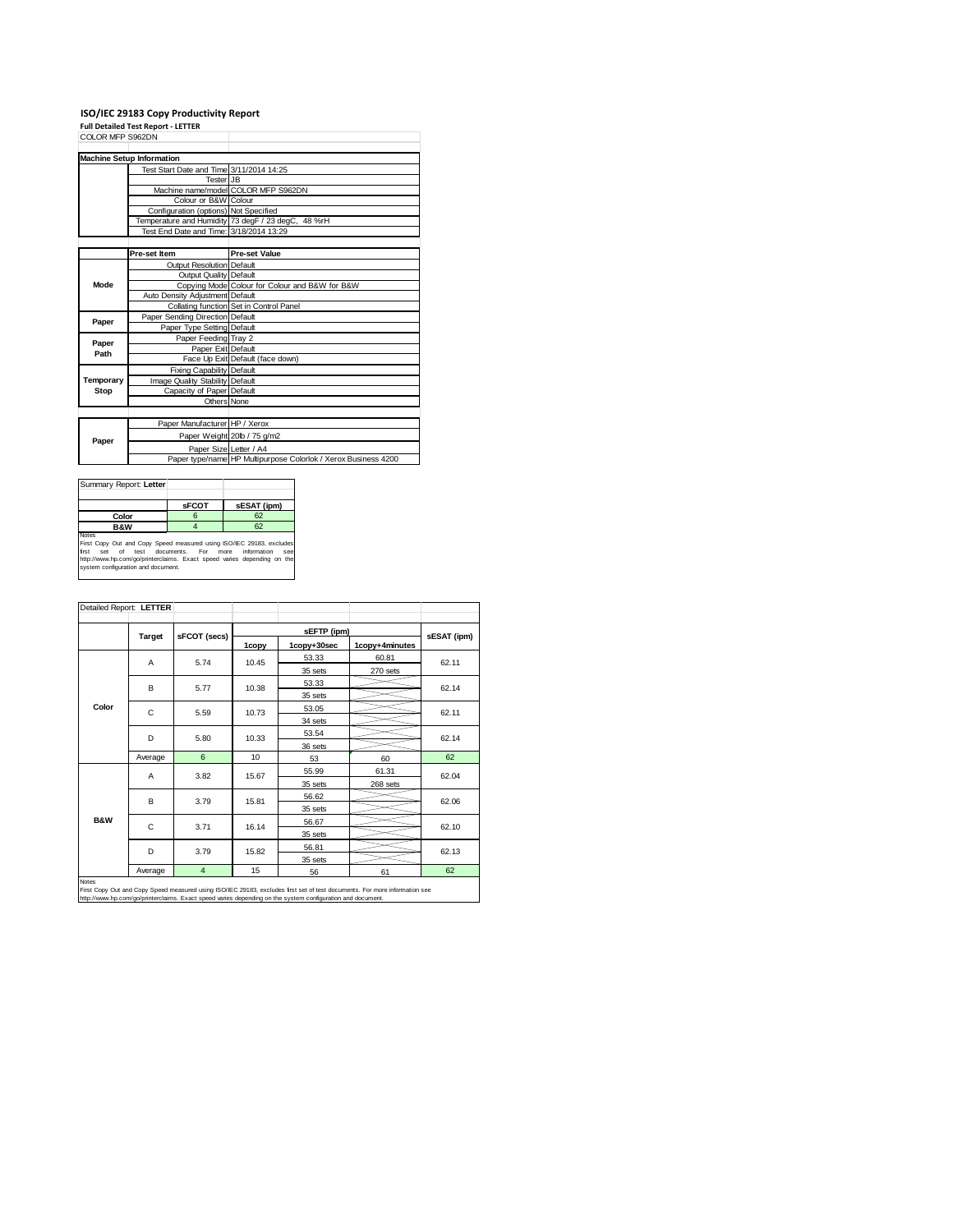## **ISO/IEC 29183 Copy Productivity Report Full Detailed Test Report ‐ LETTER** COLOR MFP S962DN

|           | <b>Machine Setup Information</b>         |                                                                |
|-----------|------------------------------------------|----------------------------------------------------------------|
|           | Test Start Date and Time 3/11/2014 14:25 |                                                                |
|           | <b>Tester JB</b>                         |                                                                |
|           |                                          | Machine name/model COLOR MFP S962DN                            |
|           | Colour or B&W Colour                     |                                                                |
|           | Configuration (options) Not Specified    |                                                                |
|           |                                          | Temperature and Humidity 73 degF / 23 degC, 48 %rH             |
|           | Test End Date and Time: 3/18/2014 13:29  |                                                                |
|           |                                          |                                                                |
|           | Pre-set Item                             | <b>Pre-set Value</b>                                           |
|           | Output Resolution Default                |                                                                |
| Mode      | Output Quality Default                   |                                                                |
|           |                                          | Copying Mode Colour for Colour and B&W for B&W                 |
|           | Auto Density Adiustment Default          |                                                                |
|           |                                          | Collating function Set in Control Panel                        |
| Paper     | Paper Sending Direction Default          |                                                                |
|           | Paper Type Setting Default               |                                                                |
| Paper     | Paper Feeding Tray 2                     |                                                                |
| Path      | Paper Exit Default                       |                                                                |
|           |                                          | Face Up Exit Default (face down)                               |
|           | Fixing Capability Default                |                                                                |
| Temporary | Image Quality Stability Default          |                                                                |
| Stop      | Capacity of Paper Default                |                                                                |
|           | Others None                              |                                                                |
|           |                                          |                                                                |
|           | Paper Manufacturer HP / Xerox            |                                                                |
| Paper     |                                          | Paper Weight 20lb / 75 g/m2                                    |
|           | Paper Size Letter / A4                   |                                                                |
|           |                                          | Paper type/name HP Multipurpose Colorlok / Xerox Business 4200 |

| Summary Report: Letter                                                                                                                                                                                                                                               |              |             |  |  |
|----------------------------------------------------------------------------------------------------------------------------------------------------------------------------------------------------------------------------------------------------------------------|--------------|-------------|--|--|
|                                                                                                                                                                                                                                                                      | <b>SFCOT</b> | sESAT (ipm) |  |  |
| Color                                                                                                                                                                                                                                                                | 6            | 62          |  |  |
| <b>B&amp;W</b>                                                                                                                                                                                                                                                       |              | 62          |  |  |
| <b>Notes</b><br>First Copy Out and Copy Speed measured using ISO/IEC 29183, excludes<br>set of test documents. For more information<br>first<br>SAR<br>http://www.hp.com/go/printerclaims. Exact speed varies depending on the<br>system configuration and document. |              |             |  |  |

|                | <b>Target</b> | sFCOT (secs)   |       | sEFTP (ipm) |                |             |  |
|----------------|---------------|----------------|-------|-------------|----------------|-------------|--|
|                |               |                | 1copy | 1copy+30sec | 1copy+4minutes | sESAT (ipm) |  |
|                | A             | 5.74           | 10.45 | 53.33       | 60.81          | 62.11       |  |
|                |               |                |       | 35 sets     | 270 sets       |             |  |
|                | B             | 5.77           | 10.38 | 53.33       |                | 62.14       |  |
|                |               |                |       | 35 sets     |                |             |  |
| Color          | C             | 5.59           | 10.73 | 53.05       |                | 62.11       |  |
|                |               |                |       | 34 sets     |                |             |  |
|                | D             | 5.80           | 10.33 | 53.54       |                | 62.14       |  |
|                |               |                |       | 36 sets     |                |             |  |
|                | Average       | 6              | 10    | 53          | 60             | 62          |  |
|                | A             | 3.82           | 15.67 | 55.99       | 61.31          | 62.04       |  |
|                |               |                |       | 35 sets     | 268 sets       |             |  |
|                | B             | 3.79           | 15.81 | 56.62       |                | 62.06       |  |
|                |               |                |       | 35 sets     |                |             |  |
| <b>B&amp;W</b> | C             | 3.71           | 16.14 | 56.67       |                | 62.10       |  |
|                |               |                |       | 35 sets     |                |             |  |
|                | D             | 3.79           | 15.82 | 56.81       |                | 62.13       |  |
|                |               |                |       | 35 sets     |                |             |  |
|                | Average       | $\overline{4}$ | 15    | 56          | 61             | 62          |  |